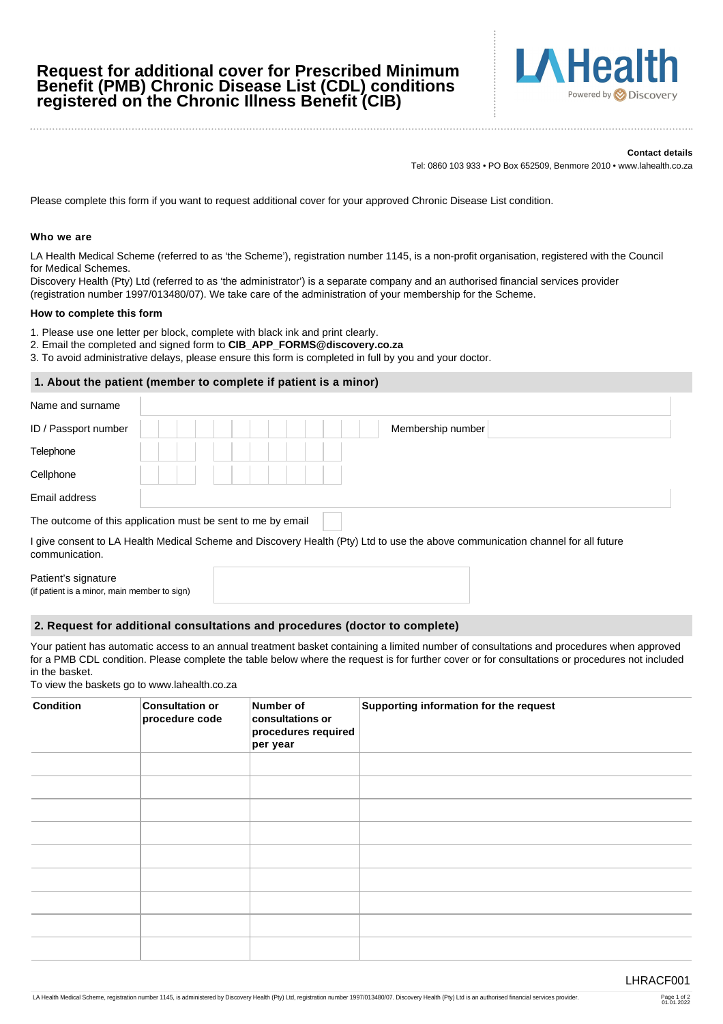# **Request for additional cover for Prescribed Minimum Benefit (PMB) Chronic Disease List (CDL) conditions registered on the Chronic Illness Benefit (CIB)**



#### **Contact details**

Tel: 0860 103 933 • PO Box 652509, Benmore 2010 • www.lahealth.co.za

Please complete this form if you want to request additional cover for your approved Chronic Disease List condition.

#### **Who we are**

LA Health Medical Scheme (referred to as 'the Scheme'), registration number 1145, is a non-profit organisation, registered with the Council for Medical Schemes.

Discovery Health (Pty) Ltd (referred to as 'the administrator') is a separate company and an authorised financial services provider (registration number 1997/013480/07). We take care of the administration of your membership for the Scheme.

#### **How to complete this form**

1. Please use one letter per block, complete with black ink and print clearly.

- 2. Email the completed and signed form to **CIB\_APP\_FORMS@discovery.co.za**
- 3. To avoid administrative delays, please ensure this form is completed in full by you and your doctor.

## **1. About the patient (member to complete if patient is a minor)**

| Name and surname     |                                                             |
|----------------------|-------------------------------------------------------------|
| ID / Passport number | Membership number                                           |
| Telephone            |                                                             |
| Cellphone            |                                                             |
| Email address        |                                                             |
|                      | The outcome of this application must be sent to me by email |

I give consent to LA Health Medical Scheme and Discovery Health (Pty) Ltd to use the above communication channel for all future communication.

| Patient's signature                          |  |
|----------------------------------------------|--|
| (if patient is a minor, main member to sign) |  |

### **2. Request for additional consultations and procedures (doctor to complete)**

Your patient has automatic access to an annual treatment basket containing a limited number of consultations and procedures when approved for a PMB CDL condition. Please complete the table below where the request is for further cover or for consultations or procedures not included in the basket.

To view the baskets go to www.lahealth.co.za

| <b>Condition</b> | <b>Consultation or</b><br>procedure code | Number of<br>consultations or<br>procedures required<br>per year | Supporting information for the request |
|------------------|------------------------------------------|------------------------------------------------------------------|----------------------------------------|
|                  |                                          |                                                                  |                                        |
|                  |                                          |                                                                  |                                        |
|                  |                                          |                                                                  |                                        |
|                  |                                          |                                                                  |                                        |
|                  |                                          |                                                                  |                                        |
|                  |                                          |                                                                  |                                        |
|                  |                                          |                                                                  |                                        |
|                  |                                          |                                                                  |                                        |
|                  |                                          |                                                                  |                                        |